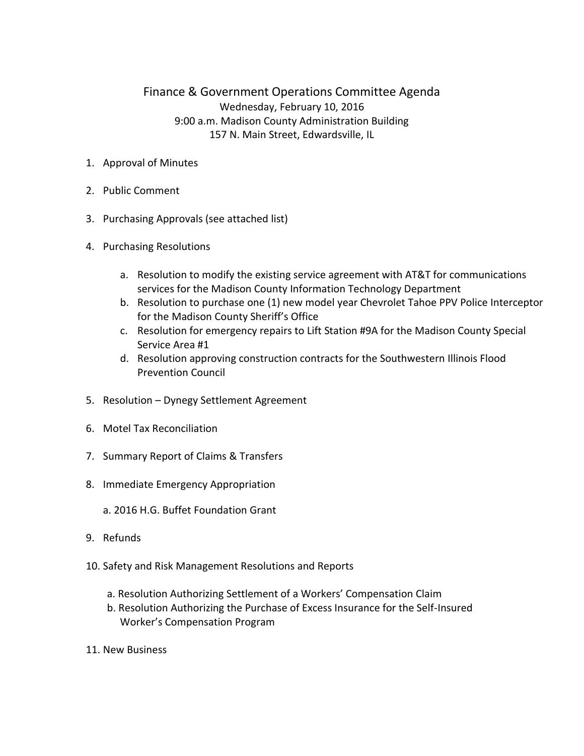## Finance & Government Operations Committee Agenda Wednesday, February 10, 2016 9:00 a.m. Madison County Administration Building 157 N. Main Street, Edwardsville, IL

- 1. Approval of Minutes
- 2. Public Comment
- 3. Purchasing Approvals (see attached list)
- 4. Purchasing Resolutions
	- a. Resolution to modify the existing service agreement with AT&T for communications services for the Madison County Information Technology Department
	- b. Resolution to purchase one (1) new model year Chevrolet Tahoe PPV Police Interceptor for the Madison County Sheriff's Office
	- c. Resolution for emergency repairs to Lift Station #9A for the Madison County Special Service Area #1
	- d. Resolution approving construction contracts for the Southwestern Illinois Flood Prevention Council
- 5. Resolution Dynegy Settlement Agreement
- 6. Motel Tax Reconciliation
- 7. Summary Report of Claims & Transfers
- 8. Immediate Emergency Appropriation
	- a. 2016 H.G. Buffet Foundation Grant
- 9. Refunds
- 10. Safety and Risk Management Resolutions and Reports
	- a. Resolution Authorizing Settlement of a Workers' Compensation Claim
	- b. Resolution Authorizing the Purchase of Excess Insurance for the Self-Insured Worker's Compensation Program
- 11. New Business